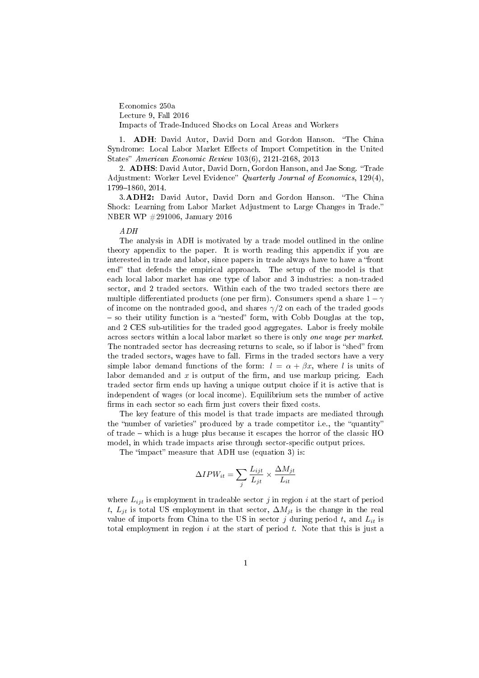Economics 250a

Lecture 9, Fall 2016

Impacts of Trade-Induced Shocks on Local Areas and Workers

1. ADH: David Autor, David Dorn and Gordon Hanson. The China Syndrome: Local Labor Market Effects of Import Competition in the United States" American Economic Review 103(6), 2121-2168, 2013

2. ADHS: David Autor, David Dorn, Gordon Hanson, and Jae Song. "Trade Adjustment: Worker Level Evidence" Quarterly Journal of Economics, 129(4), 1799-1860, 2014.

3.ADH2: David Autor, David Dorn and Gordon Hanson. "The China Shock: Learning from Labor Market Adjustment to Large Changes in Trade. NBER WP #291006, January 2016

# ADH

The analysis in ADH is motivated by a trade model outlined in the online theory appendix to the paper. It is worth reading this appendix if you are interested in trade and labor, since papers in trade always have to have a "front end" that defends the empirical approach. The setup of the model is that each local labor market has one type of labor and 3 industries: a non-traded sector, and 2 traded sectors. Within each of the two traded sectors there are multiple differentiated products (one per firm). Consumers spend a share  $1 - \gamma$ of income on the nontraded good, and shares  $\gamma/2$  on each of the traded goods  $s_0$  so their utility function is a "nested" form, with Cobb Douglas at the top, and 2 CES sub-utilities for the traded good aggregates. Labor is freely mobile across sectors within a local labor market so there is only one wage per market. The nontraded sector has decreasing returns to scale, so if labor is "shed" from the traded sectors, wages have to fall. Firms in the traded sectors have a very simple labor demand functions of the form:  $l = \alpha + \beta x$ , where l is units of labor demanded and  $x$  is output of the firm, and use markup pricing. Each traded sector firm ends up having a unique output choice if it is active that is independent of wages (or local income). Equilibrium sets the number of active firms in each sector so each firm just covers their fixed costs.

The key feature of this model is that trade impacts are mediated through the "number of varieties" produced by a trade competitor i.e., the "quantity" of trade  $-$  which is a huge plus because it escapes the horror of the classic HC model, in which trade impacts arise through sector-specific output prices.

The "impact" measure that ADH use (equation 3) is:

$$
\Delta IPW_{it} = \sum_{j} \frac{L_{ijt}}{L_{jt}} \times \frac{\Delta M_{jt}}{L_{it}}
$$

where  $L_{ijt}$  is employment in tradeable sector j in region i at the start of period t,  $L_{it}$  is total US employment in that sector,  $\Delta M_{it}$  is the change in the real value of imports from China to the US in sector j during period t, and  $L_{it}$  is total employment in region  $i$  at the start of period  $t$ . Note that this is just a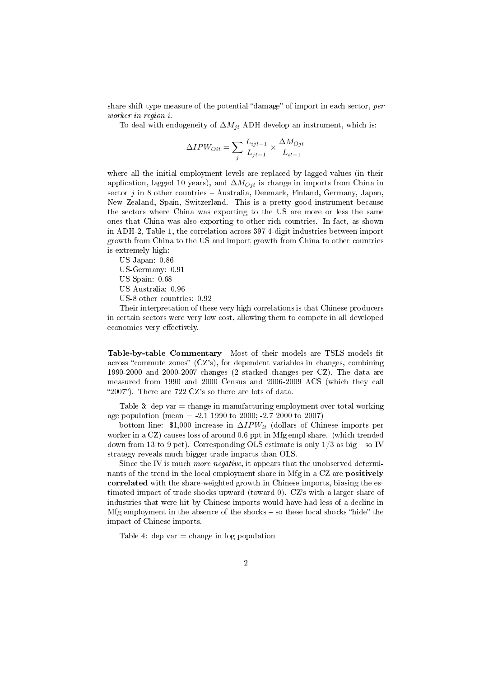share shift type measure of the potential "damage" of import in each sector,  $per$ worker in region i.

To deal with endogeneity of  $\Delta M_{jt}$  ADH develop an instrument, which is:

$$
\Delta IPW_{Oit} = \sum_{j} \frac{L_{ijt-1}}{L_{jt-1}} \times \frac{\Delta M_{Ojt}}{L_{it-1}}
$$

where all the initial employment levels are replaced by lagged values (in their application, lagged 10 years), and  $\Delta M_{Oit}$  is change in imports from China in sector  $j$  in 8 other countries  $-$  Australia, Denmark, Finland, Germany, Japan. New Zealand, Spain, Switzerland. This is a pretty good instrument because the sectors where China was exporting to the US are more or less the same ones that China was also exporting to other rich countries. In fact, as shown in ADH-2, Table 1, the correlation across 397 4-digit industries between import growth from China to the US and import growth from China to other countries is extremely high:

US-Japan: 0.86

US-Germany: 0.91

US-Spain: 0.68

US-Australia: 0.96

US-8 other countries: 0.92

Their interpretation of these very high correlations is that Chinese producers in certain sectors were very low cost, allowing them to compete in all developed economies very effectively.

Table-by-table Commentary Most of their models are TSLS models fit across "commute zones"  $(CZ's)$ , for dependent variables in changes, combining 1990-2000 and 2000-2007 changes (2 stacked changes per CZ). The data are measured from 1990 and 2000 Census and 2006-2009 ACS (which they call 2007). There are 722 CZ's so there are lots of data.

Table 3: dep var  $=$  change in manufacturing employment over total working age population (mean = -2.1 1990 to 2000; -2.7 2000 to 2007)

bottom line: \$1,000 increase in  $\Delta IPW_{it}$  (dollars of Chinese imports per worker in a CZ) causes loss of around 0.6 ppt in Mfg empl share. (which trended down from 13 to 9 pct). Corresponding OLS estimate is only  $1/3$  as big  $-$  so IV strategy reveals much bigger trade impacts than OLS.

Since the IV is much *more negative*, it appears that the unobserved determinants of the trend in the local employment share in Mfg in a CZ are positively correlated with the share-weighted growth in Chinese imports, biasing the estimated impact of trade shocks upward (toward 0). CZ's with a larger share of industries that were hit by Chinese imports would have had less of a decline in Mfg employment in the absence of the shocks  $-$  so these local shocks "hide" the impact of Chinese imports.

Table 4: dep var  $=$  change in log population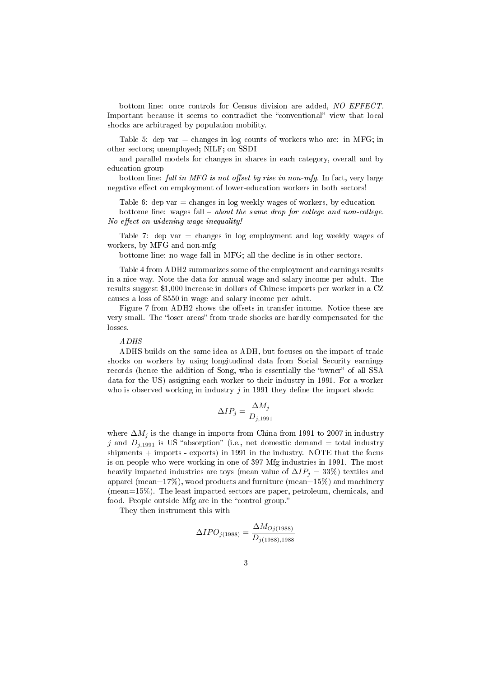bottom line: once controls for Census division are added, NO EFFECT Important because it seems to contradict the "conventional" view that local shocks are arbitraged by population mobility.

Table 5: dep var  $=$  changes in log counts of workers who are: in MFG; in other sectors; unemployed; NILF; on SSDI

and parallel models for changes in shares in each category, overall and by education group

bottom line: fall in MFG is not offset by rise in non-mfg. In fact, very large negative effect on employment of lower-education workers in both sectors!

Table 6: dep var  $=$  changes in log weekly wages of workers, by education

bottome line: wages fall  $-$  about the same drop for college and non-college. No effect on widening wage inequality!

Table 7: dep var  $=$  changes in log employment and log weekly wages of workers, by MFG and non-mfg

bottome line: no wage fall in MFG; all the decline is in other sectors.

Table 4 from ADH2 summarizes some of the employment and earnings results in a nice way. Note the data for annual wage and salary income per adult. The results suggest \$1,000 increase in dollars of Chinese imports per worker in a CZ causes a loss of \$550 in wage and salary income per adult.

Figure 7 from ADH2 shows the offsets in transfer income. Notice these are very small. The "loser areas" from trade shocks are hardly compensated for the losses.

## ADHS

ADHS builds on the same idea as ADH, but focuses on the impact of trade shocks on workers by using longitudinal data from Social Security earnings records (hence the addition of Song, who is essentially the "owner" of all SSA data for the US) assigning each worker to their industry in 1991. For a worker who is observed working in industry  $j$  in 1991 they define the import shock:

$$
\Delta IP_j = \frac{\Delta M_j}{D_{j,1991}}
$$

where  $\Delta M_i$  is the change in imports from China from 1991 to 2007 in industry j and  $D_{j,1991}$  is US "absorption" (i.e., net domestic demand = total industry shipments  $+$  imports - exports) in 1991 in the industry. NOTE that the focus is on people who were working in one of 397 Mfg industries in 1991. The most heavily impacted industries are toys (mean value of  $\Delta IP_i = 33\%$ ) textiles and apparel (mean=17%), wood products and furniture (mean=15%) and machinery (mean=15%). The least impacted sectors are paper, petroleum, chemicals, and food. People outside Mfg are in the "control group."

They then instrument this with

$$
\Delta IPO_{j(1988)} = \frac{\Delta M_{Oj(1988)}}{D_{j(1988),1988}}
$$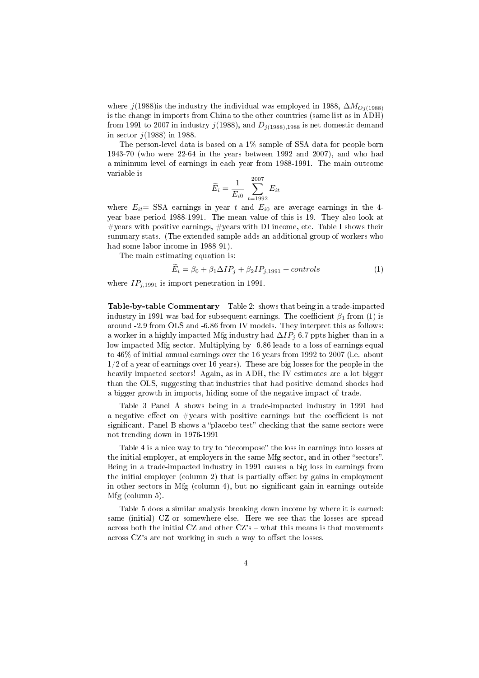where j(1988)is the industry the individual was employed in 1988,  $\Delta M_{O_1(1988)}$ is the change in imports from China to the other countries (same list as in ADH) from 1991 to 2007 in industry  $j(1988)$ , and  $D_{j(1988),1988}$  is net domestic demand in sector  $j(1988)$  in 1988.

The person-level data is based on a 1% sample of SSA data for people born 1943-70 (who were 22-64 in the years between 1992 and 2007), and who had a minimum level of earnings in each year from 1988-1991. The main outcome variable is

$$
\widetilde{E}_i = \frac{1}{E_{i0}} \sum_{t=1992}^{2007} E_{it}
$$

where  $E_{it}$  SSA earnings in year t and  $E_{i0}$  are average earnings in the 4year base period 1988-1991. The mean value of this is 19. They also look at  $\#$ years with positive earnings,  $\#$ years with DI income, etc. Table I shows their summary stats. (The extended sample adds an additional group of workers who had some labor income in 1988-91).

The main estimating equation is:

$$
E_i = \beta_0 + \beta_1 \Delta IP_j + \beta_2 IP_{j,1991} + controls \tag{1}
$$

where  $IP_{j,1991}$  is import penetration in 1991.

Table-by-table Commentary Table 2: shows that being in a trade-impacted industry in 1991 was bad for subsequent earnings. The coefficient  $\beta_1$  from (1) is around -2.9 from OLS and -6.86 from IV models. They interpret this as follows: a worker in a highly impacted Mfg industry had  $\Delta IP_i$  6.7 ppts higher than in a low-impacted Mfg sector. Multiplying by -6.86 leads to a loss of earnings equal to 46% of initial annual earnings over the 16 years from 1992 to 2007 (i.e. about 1/2 of a year of earnings over 16 years). These are big losses for the people in the heavily impacted sectors! Again, as in ADH, the IV estimates are a lot bigger than the OLS, suggesting that industries that had positive demand shocks had a bigger growth in imports, hiding some of the negative impact of trade.

Table 3 Panel A shows being in a trade-impacted industry in 1991 had a negative effect on  $\#$ years with positive earnings but the coefficient is not significant. Panel B shows a "placebo test" checking that the same sectors were not trending down in 1976-1991

Table 4 is a nice way to try to "decompose" the loss in earnings into losses at the initial employer, at employers in the same Mfg sector, and in other "sectors". Being in a trade-impacted industry in 1991 causes a big loss in earnings from the initial employer (column 2) that is partially offset by gains in employment in other sectors in Mfg (column 4), but no signicant gain in earnings outside Mfg (column 5).

Table 5 does a similar analysis breaking down income by where it is earned: same (initial) CZ or somewhere else. Here we see that the losses are spread across both the initial CZ and other  $CZ$ 's  $-$  what this means is that movements across  $CZ$ 's are not working in such a way to offset the losses.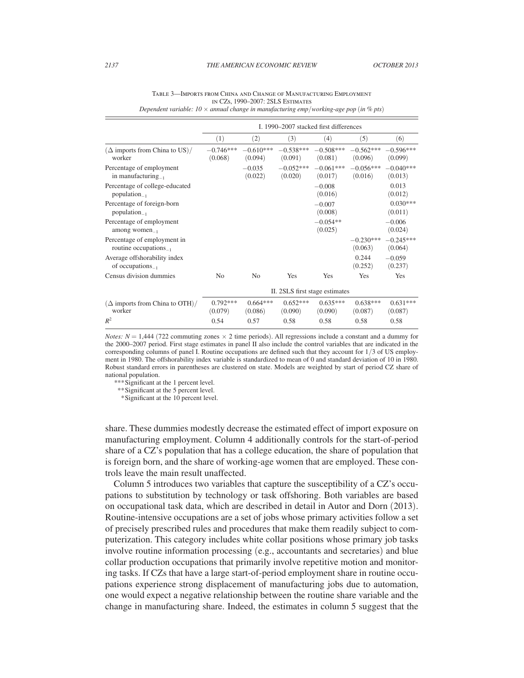|                                                            | I. 1990–2007 stacked first differences |                        |                                |                        |                        |                        |
|------------------------------------------------------------|----------------------------------------|------------------------|--------------------------------|------------------------|------------------------|------------------------|
|                                                            | (1)                                    | (2)                    | (3)                            | (4)                    | (5)                    | (6)                    |
| $(\Delta$ imports from China to US)/<br>worker             | $-0.746***$<br>(0.068)                 | $-0.610***$<br>(0.094) | $-0.538***$<br>(0.091)         | $-0.508***$<br>(0.081) | $-0.562***$<br>(0.096) | $-0.596***$<br>(0.099) |
| Percentage of employment<br>in manufacturing $_{-1}$       |                                        | $-0.035$<br>(0.022)    | $-0.052***$<br>(0.020)         | $-0.061***$<br>(0.017) | $-0.056***$<br>(0.016) | $-0.040***$<br>(0.013) |
| Percentage of college-educated<br>population $_{-1}$       |                                        |                        |                                | $-0.008$<br>(0.016)    |                        | 0.013<br>(0.012)       |
| Percentage of foreign-born<br>$population_{-1}$            |                                        |                        |                                | $-0.007$<br>(0.008)    |                        | $0.030***$<br>(0.011)  |
| Percentage of employment<br>among women $_{-1}$            |                                        |                        |                                | $-0.054**$<br>(0.025)  |                        | $-0.006$<br>(0.024)    |
| Percentage of employment in<br>routine occupations $_{-1}$ |                                        |                        |                                |                        | $-0.230***$<br>(0.063) | $-0.245***$<br>(0.064) |
| Average offshorability index<br>of occupations $_{-1}$     |                                        |                        |                                |                        | 0.244<br>(0.252)       | $-0.059$<br>(0.237)    |
| Census division dummies                                    | N <sub>0</sub>                         | N <sub>0</sub>         | Yes                            | Yes                    | Yes                    | Yes                    |
|                                                            |                                        |                        | II. 2SLS first stage estimates |                        |                        |                        |
| $(\Delta$ imports from China to OTH $)/$<br>worker         | $0.792***$<br>(0.079)                  | $0.664***$<br>(0.086)  | $0.652***$<br>(0.090)          | $0.635***$<br>(0.090)  | $0.638***$<br>(0.087)  | $0.631***$<br>(0.087)  |
| $R^2$                                                      | 0.54                                   | 0.57                   | 0.58                           | 0.58                   | 0.58                   | 0.58                   |

| TABLE 3—IMPORTS FROM CHINA AND CHANGE OF MANUFACTURING EMPLOYMENT                             |
|-----------------------------------------------------------------------------------------------|
| IN CZS. 1990–2007: 2SLS ESTIMATES                                                             |
| Dependent variable: $10 \times$ annual change in manufacturing emp/working-age pop (in % pts) |

*Notes: N* = 1,444 (722 commuting zones  $\times$  2 time periods). All regressions include a constant and a dummy for the 2000–2007 period. First stage estimates in panel II also include the control variables that are indicated in the corresponding columns of panel I. Routine occupations are defined such that they account for 1/3 of US employment in 1980. The offshorability index variable is standardized to mean of 0 and standard deviation of 10 in 1980. Robust standard errors in parentheses are clustered on state. Models are weighted by start of period CZ share of national population.

*\*\*\** Significant at the 1 percent level.

 *\*\** Significant at the 5 percent level.

 *\** Significant at the 10 percent level.

share. These dummies modestly decrease the estimated effect of import exposure on manufacturing employment. Column 4 additionally controls for the start-of-period share of a CZ's population that has a college education, the share of population that is foreign born, and the share of working-age women that are employed. These controls leave the main result unaffected.

Column 5 introduces two variables that capture the susceptibility of a CZ's occupations to substitution by technology or task offshoring. Both variables are based on occupational task data, which are described in detail in Autor and Dorn (2013). Routine-intensive occupations are a set of jobs whose primary activities follow a set of precisely prescribed rules and procedures that make them readily subject to computerization. This category includes white collar positions whose primary job tasks involve routine information processing (e.g., accountants and secretaries) and blue collar production occupations that primarily involve repetitive motion and monitoring tasks. If CZs that have a large start-of-period employment share in routine occupations experience strong displacement of manufacturing jobs due to automation, one would expect a negative relationship between the routine share variable and the change in manufacturing share. Indeed, the estimates in column 5 suggest that the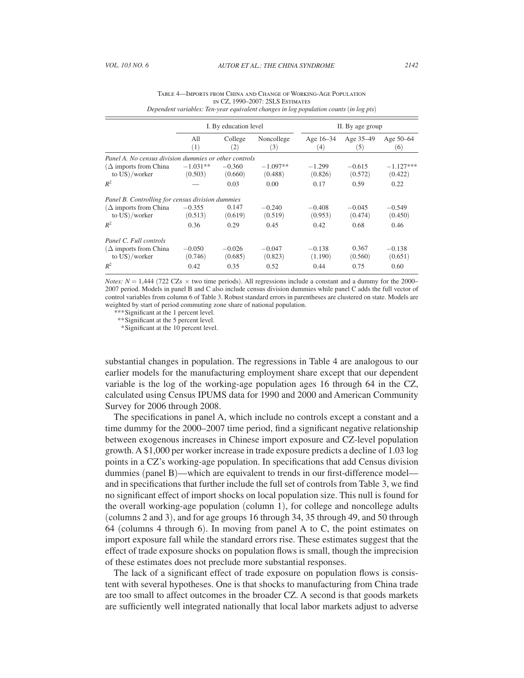|                                                       | I. By education level |                     | II. By age group      |                                  |                     |                        |
|-------------------------------------------------------|-----------------------|---------------------|-----------------------|----------------------------------|---------------------|------------------------|
|                                                       | A11<br>(1)            | College<br>(2)      | Noncollege<br>(3)     | Age $16-34$<br>$\left( 4\right)$ | Age 35-49<br>(5)    | Age 50-64<br>(6)       |
| Panel A. No census division dummies or other controls |                       |                     |                       |                                  |                     |                        |
| $(\Delta$ imports from China<br>to $US)/$ worker      | $-1.031**$<br>(0.503) | $-0.360$<br>(0.660) | $-1.097**$<br>(0.488) | $-1.299$<br>(0.826)              | $-0.615$<br>(0.572) | $-1.127***$<br>(0.422) |
| $R^2$                                                 |                       | 0.03                | 0.00                  | 0.17                             | 0.59                | 0.22                   |
| Panel B. Controlling for census division dummies      |                       |                     |                       |                                  |                     |                        |
| $(\Delta$ imports from China<br>to $US)/$ worker      | $-0.355$<br>(0.513)   | 0.147<br>(0.619)    | $-0.240$<br>(0.519)   | $-0.408$<br>(0.953)              | $-0.045$<br>(0.474) | $-0.549$<br>(0.450)    |
| $R^2$                                                 | 0.36                  | 0.29                | 0.45                  | 0.42                             | 0.68                | 0.46                   |
| Panel C. Full controls                                |                       |                     |                       |                                  |                     |                        |
| $(\Delta$ imports from China<br>to $US)/$ worker      | $-0.050$<br>(0.746)   | $-0.026$<br>(0.685) | $-0.047$<br>(0.823)   | $-0.138$<br>(1.190)              | 0.367<br>(0.560)    | $-0.138$<br>(0.651)    |
| $R^2$                                                 | 0.42                  | 0.35                | 0.52                  | 0.44                             | 0.75                | 0.60                   |

| TABLE 4—IMPORTS FROM CHINA AND CHANGE OF WORKING-AGE POPULATION |  |  |  |  |  |  |  |
|-----------------------------------------------------------------|--|--|--|--|--|--|--|
| IN CZ. 1990–2007: 2SLS ESTIMATES                                |  |  |  |  |  |  |  |
|                                                                 |  |  |  |  |  |  |  |

*Dependent variables: Ten-year equivalent changes in log population counts* (*in log pts*)

*Notes: N* = 1,444 (722 CZs  $\times$  two time periods). All regressions include a constant and a dummy for the 2000– 2007 period. Models in panel B and C also include census division dummies while panel C adds the full vector of control variables from column 6 of Table 3. Robust standard errors in parentheses are clustered on state. Models are weighted by start of period commuting zone share of national population.

*\*\*\** Significant at the 1 percent level.

 *\*\** Significant at the 5 percent level.

 *\** Significant at the 10 percent level.

 substantial changes in population. The regressions in Table 4 are analogous to our earlier models for the manufacturing employment share except that our dependent variable is the log of the working-age population ages 16 through 64 in the CZ, calculated using Census IPUMS data for 1990 and 2000 and American Community Survey for 2006 through 2008.

The specifications in panel A, which include no controls except a constant and a time dummy for the 2000–2007 time period, find a significant negative relationship between exogenous increases in Chinese import exposure and CZ-level population growth. A \$1,000 per worker increase in trade exposure predicts a decline of 1.03 log points in a CZ's working-age population. In specifications that add Census division dummies (panel B)—which are equivalent to trends in our first-difference model and in specifications that further include the full set of controls from Table 3, we find no significant effect of import shocks on local population size. This null is found for the overall working-age population (column 1), for college and noncollege adults (columns 2 and 3), and for age groups 16 through 34, 35 through 49, and 50 through 64 (columns 4 through 6). In moving from panel A to C, the point estimates on import exposure fall while the standard errors rise. These estimates suggest that the effect of trade exposure shocks on population flows is small, though the imprecision of these estimates does not preclude more substantial responses.

The lack of a significant effect of trade exposure on population flows is consistent with several hypotheses. One is that shocks to manufacturing from China trade are too small to affect outcomes in the broader CZ. A second is that goods markets are sufficiently well integrated nationally that local labor markets adjust to adverse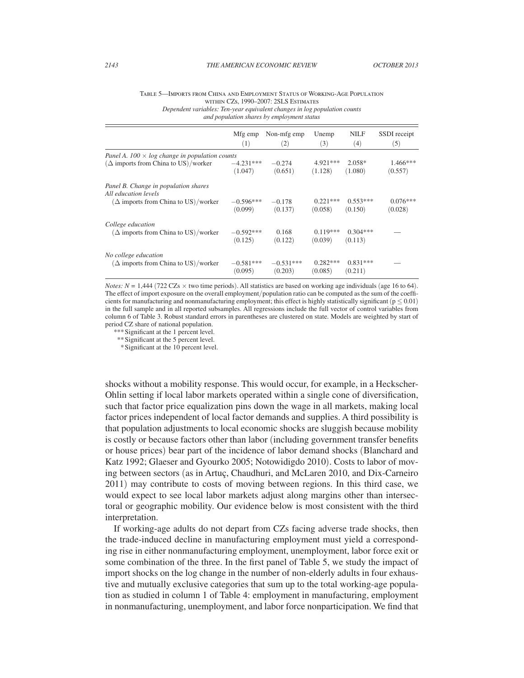#### Table 5—Imports from China and Employment Status of Working-Age Population within CZs, 1990–2007: 2SLS Estimates *Dependent variables: Ten-year equivalent changes in log population counts*

*and population shares by employment status*

|                                                                                                            | Mfg emp                | Non-mfg emp         | Unemp                 | <b>NILF</b>           | SSDI receipt          |
|------------------------------------------------------------------------------------------------------------|------------------------|---------------------|-----------------------|-----------------------|-----------------------|
|                                                                                                            | (1)                    | (2)                 | (3)                   | (4)                   | (5)                   |
| Panel A. $100 \times log$ change in population counts                                                      | $-4.231***$            | $-0.274$            | 4.921 ***             | $2.058*$              | $1.466***$            |
| $(\Delta$ imports from China to US)/worker                                                                 | (1.047)                | (0.651)             | (1.128)               | (1.080)               | (0.557)               |
| Panel B. Change in population shares<br>All education levels<br>$(\Delta$ imports from China to US)/worker | $-0.596***$<br>(0.099) | $-0.178$<br>(0.137) | $0.221***$<br>(0.058) | $0.553***$<br>(0.150) | $0.076***$<br>(0.028) |
| College education                                                                                          | $-0.592***$            | 0.168               | $0.119***$            | $0.304***$            |                       |
| $(\Delta$ imports from China to US)/worker                                                                 | (0.125)                | (0.122)             | (0.039)               | (0.113)               |                       |
| No college education                                                                                       | $-0.581***$            | $-0.531***$         | $0.282***$            | $0.831***$            |                       |
| $(\Delta$ imports from China to US)/worker                                                                 | (0.095)                | (0.203)             | (0.085)               | (0.211)               |                       |

*Notes: N* = 1,444 (722 CZs  $\times$  two time periods). All statistics are based on working age individuals (age 16 to 64). The effect of import exposure on the overall employment/population ratio can be computed as the sum of the coefficients for manufacturing and nonmanufacturing employment; this effect is highly statistically significant ( $p \le 0.01$ ) in the full sample and in all reported subsamples. All regressions include the full vector of control variables from column 6 of Table 3. Robust standard errors in parentheses are clustered on state. Models are weighted by start of period CZ share of national population.

\*\*\*Significant at the 1 percent level.

\*\*Significant at the 5 percent level.

\*Significant at the 10 percent level.

shocks without a mobility response. This would occur, for example, in a Heckscher-Ohlin setting if local labor markets operated within a single cone of diversification, such that factor price equalization pins down the wage in all markets, making local factor prices independent of local factor demands and supplies. A third possibility is that population adjustments to local economic shocks are sluggish because mobility is costly or because factors other than labor (including government transfer benefits or house prices) bear part of the incidence of labor demand shocks (Blanchard and Katz 1992; Glaeser and Gyourko 2005; Notowidigdo 2010). Costs to labor of moving between sectors (as in Artuç, Chaudhuri, and McLaren 2010, and Dix-Carneiro 2011) may contribute to costs of moving between regions. In this third case, we would expect to see local labor markets adjust along margins other than intersectoral or geographic mobility. Our evidence below is most consistent with the third interpretation.

If working-age adults do not depart from CZs facing adverse trade shocks, then the trade-induced decline in manufacturing employment must yield a corresponding rise in either nonmanufacturing employment, unemployment, labor force exit or some combination of the three. In the first panel of Table 5, we study the impact of import shocks on the log change in the number of non-elderly adults in four exhaustive and mutually exclusive categories that sum up to the total working-age population as studied in column 1 of Table 4: employment in manufacturing, employment in nonmanufacturing, unemployment, and labor force nonparticipation. We find that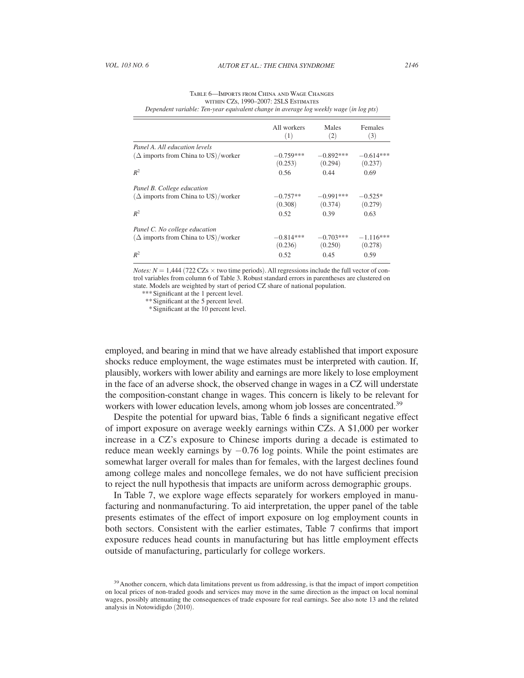|                                            | All workers<br>(1)     | Males<br>$\left( 2\right)$ | Females<br>(3)         |
|--------------------------------------------|------------------------|----------------------------|------------------------|
| Panel A. All education levels              |                        |                            |                        |
| $(\Delta$ imports from China to US)/worker | $-0.759***$<br>(0.253) | $-0.892***$<br>(0.294)     | $-0.614***$<br>(0.237) |
| $R^2$                                      | 0.56                   | 0.44                       | 0.69                   |
| Panel B. College education                 |                        |                            |                        |
| $(\Delta$ imports from China to US)/worker | $-0.757**$<br>(0.308)  | $-0.991***$<br>(0.374)     | $-0.525*$<br>(0.279)   |
| $R^2$                                      | 0.52                   | 0.39                       | 0.63                   |
| Panel C. No college education              |                        |                            |                        |
| $(\Delta$ imports from China to US)/worker | $-0.814***$<br>(0.236) | $-0.703***$<br>(0.250)     | $-1.116***$<br>(0.278) |
| $R^2$                                      | 0.52                   | 0.45                       | 0.59                   |

| TABLE 6-IMPORTS FROM CHINA AND WAGE CHANGES                                            |
|----------------------------------------------------------------------------------------|
| WITHIN CZS, 1990-2007: 2SLS ESTIMATES                                                  |
| Dependent variable: Ten-year equivalent change in average log weekly wage (in log pts) |

*Notes: N* = 1,444 (722 CZs  $\times$  two time periods). All regressions include the full vector of control variables from column 6 of Table 3. Robust standard errors in parentheses are clustered on state. Models are weighted by start of period CZ share of national population.

\*\*\*Significant at the 1 percent level.

\*\*Significant at the 5 percent level.

\*Significant at the 10 percent level.

employed, and bearing in mind that we have already established that import exposure shocks reduce employment, the wage estimates must be interpreted with caution. If, plausibly, workers with lower ability and earnings are more likely to lose employment in the face of an adverse shock, the observed change in wages in a CZ will understate the composition-constant change in wages. This concern is likely to be relevant for workers with lower education levels, among whom job losses are concentrated.<sup>39</sup>

Despite the potential for upward bias, Table 6 finds a significant negative effect of import exposure on average weekly earnings within CZs. A \$1,000 per worker increase in a CZ's exposure to Chinese imports during a decade is estimated to reduce mean weekly earnings by  $-0.76$  log points. While the point estimates are somewhat larger overall for males than for females, with the largest declines found among college males and noncollege females, we do not have sufficient precision to reject the null hypothesis that impacts are uniform across demographic groups.

In Table 7, we explore wage effects separately for workers employed in manufacturing and nonmanufacturing. To aid interpretation, the upper panel of the table presents estimates of the effect of import exposure on log employment counts in both sectors. Consistent with the earlier estimates, Table 7 confirms that import exposure reduces head counts in manufacturing but has little employment effects outside of manufacturing, particularly for college workers.

<sup>&</sup>lt;sup>39</sup> Another concern, which data limitations prevent us from addressing, is that the impact of import competition on local prices of non-traded goods and services may move in the same direction as the impact on local nominal wages, possibly attenuating the consequences of trade exposure for real earnings. See also note 13 and the related analysis in Notowidigdo (2010).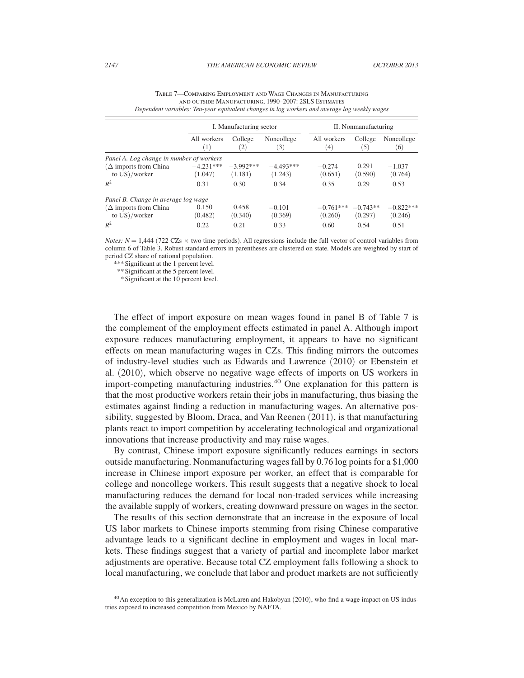|                                                  | I. Manufacturing sector |                              | II. Nonmanufacturing   |                        |                       |                        |
|--------------------------------------------------|-------------------------|------------------------------|------------------------|------------------------|-----------------------|------------------------|
|                                                  | All workers<br>(1)      | College<br>$\left( 2\right)$ | Noncollege<br>(3)      | All workers<br>(4)     | College<br>(5)        | Noncollege<br>(6)      |
| Panel A. Log change in number of workers         |                         |                              |                        |                        |                       |                        |
| $(\Delta$ imports from China<br>to $US)/$ worker | $-4.231***$<br>(1.047)  | $-3.992***$<br>(1.181)       | $-4.493***$<br>(1.243) | $-0.274$<br>(0.651)    | 0.291<br>(0.590)      | $-1.037$<br>(0.764)    |
| $R^2$                                            | 0.31                    | 0.30                         | 0.34                   | 0.35                   | 0.29                  | 0.53                   |
| Panel B. Change in average log wage              |                         |                              |                        |                        |                       |                        |
| $(\Delta$ imports from China<br>to $US)/$ worker | 0.150<br>(0.482)        | 0.458<br>(0.340)             | $-0.101$<br>(0.369)    | $-0.761***$<br>(0.260) | $-0.743**$<br>(0.297) | $-0.822***$<br>(0.246) |
| $R^2$                                            | 0.22                    | 0.21                         | 0.33                   | 0.60                   | 0.54                  | 0.51                   |

| TABLE 7—COMPARING EMPLOYMENT AND WAGE CHANGES IN MANUFACTURING                               |
|----------------------------------------------------------------------------------------------|
| AND OUTSIDE MANUFACTURING, 1990-2007: 2SLS ESTIMATES                                         |
| Dependent variables: Ten-year equivalent changes in log workers and average log weekly wages |

*Notes: N* = 1,444 (722 CZs  $\times$  two time periods). All regressions include the full vector of control variables from column 6 of Table 3. Robust standard errors in parentheses are clustered on state. Models are weighted by start of period CZ share of national population.

\*\*\* Significant at the 1 percent level.

\*\*Significant at the 5 percent level.

\*Significant at the 10 percent level.

The effect of import exposure on mean wages found in panel B of Table 7 is the complement of the employment effects estimated in panel A. Although import exposure reduces manufacturing employment, it appears to have no significant effects on mean manufacturing wages in CZs. This finding mirrors the outcomes of industry-level studies such as Edwards and Lawrence (2010) or Ebenstein et al. (2010), which observe no negative wage effects of imports on US workers in import-competing manufacturing industries.40 One explanation for this pattern is that the most productive workers retain their jobs in manufacturing, thus biasing the estimates against finding a reduction in manufacturing wages. An alternative possibility, suggested by Bloom, Draca, and Van Reenen (2011), is that manufacturing plants react to import competition by accelerating technological and organizational innovations that increase productivity and may raise wages.

By contrast, Chinese import exposure significantly reduces earnings in sectors outside manufacturing. Nonmanufacturing wages fall by 0.76 log points for a \$1,000 increase in Chinese import exposure per worker, an effect that is comparable for college and noncollege workers. This result suggests that a negative shock to local manufacturing reduces the demand for local non-traded services while increasing the available supply of workers, creating downward pressure on wages in the sector.

The results of this section demonstrate that an increase in the exposure of local US labor markets to Chinese imports stemming from rising Chinese comparative advantage leads to a significant decline in employment and wages in local markets. These findings suggest that a variety of partial and incomplete labor market adjustments are operative. Because total CZ employment falls following a shock to local manufacturing, we conclude that labor and product markets are not sufficiently

 $^{40}$  An exception to this generalization is McLaren and Hakobyan (2010), who find a wage impact on US industries exposed to increased competition from Mexico by NAFTA.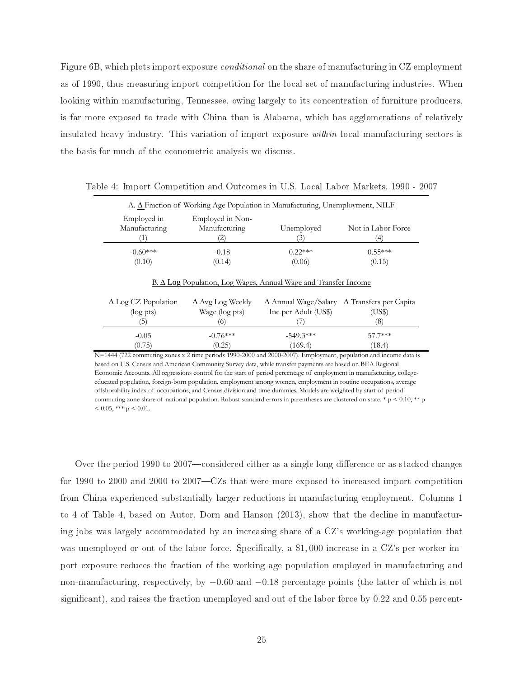Figure 6B, which plots import exposure *conditional* on the share of manufacturing in CZ employment as of 1990, thus measuring import competition for the local set of manufacturing industries. When looking within manufacturing, Tennessee, owing largely to its concentration of furniture producers, is far more exposed to trade with China than is Alabama, which has agglomerations of relatively insulated heavy industry. This variation of import exposure *within* local manufacturing sectors is the basis for much of the econometric analysis we discuss.

| Employed in<br>Manufacturing | Employed in Non-<br>Manufacturing | Unemployed | Not in Labor Force |
|------------------------------|-----------------------------------|------------|--------------------|
|                              | 2                                 | 3)         | ΄4                 |
| $-0.60***$                   | $-0.18$                           | $0.22***$  | $0.55***$          |
| (0.10)                       | (0.14)                            | (0.06)     | (0.15)             |

Table 4: Import Competition and Outcomes in U.S. Local Labor Markets, 1990 - 2007

| $-549.3***$<br>57 7***<br>$-0.76***$<br>$-0.05$ | $\Delta$ Log CZ Population<br>$(\log pts)$ | $\Delta$ Avg Log Weekly<br>Wage (log pts) | $\Delta$ Annual Wage/Salary $\Delta$ Transfers per Capita<br>Inc per Adult (US\$) | (US\$) |
|-------------------------------------------------|--------------------------------------------|-------------------------------------------|-----------------------------------------------------------------------------------|--------|
|                                                 | (0.75)                                     | (0.25)                                    | (169.4)                                                                           | (18.4) |

based on U.S. Census and American Community Survey data, while transfer payments are based on BEA Regional Economic Accounts. All regressions control for the start of period percentage of employment in manufacturing, collegeeducated population, foreign-born population, employment among women, employment in routine occupations, average offshorability index of occupations, and Census division and time dummies. Models are weighted by start of period commuting zone share of national population. Robust standard errors in parentheses are clustered on state. \*  $p < 0.10$ , \*\* p  $< 0.05$ , \*\*\* p  $< 0.01$ .

Over the period 1990 to 2007—considered either as a single long difference or as stacked changes for 1990 to 2000 and 2000 to 2007—CZs that were more exposed to increased import competition from China experienced substantially larger reductions in manufacturing employment. Columns 1 to 4 of Table 4, based on Autor, Dorn and Hanson (2013), show that the decline in manufacturing jobs was largely accommodated by an increasing share of a CZ's working-age population that was unemployed or out of the labor force. Specifically, a  $$1,000$  increase in a CZ's per-worker import exposure reduces the fraction of the working age population employed in manufacturing and  $\,$  non-manufacturing, respectively, by  $-0.60$  and  $-0.18$  percentage points (the latter of which is not significant), and raises the fraction unemployed and out of the labor force by 0.22 and 0.55 percent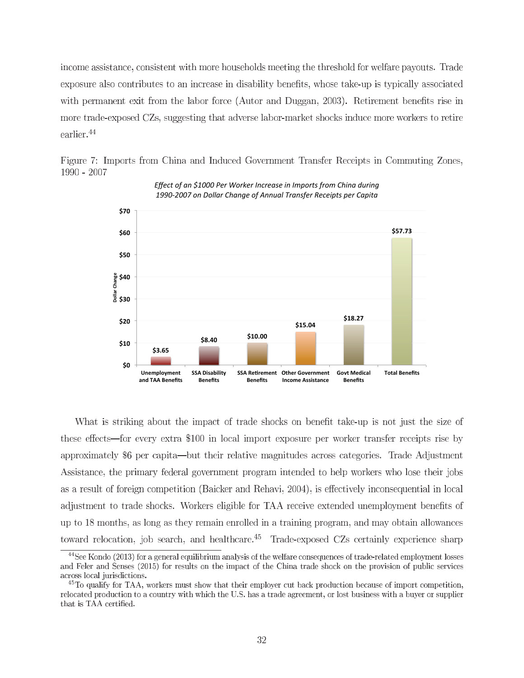income assistance, consistent with more households meeting the threshold for welfare payouts. Trade exposure also contributes to an increase in disability benefits, whose take-up is typically associated with permanent exit from the labor force (Autor and Duggan, 2003). Retirement benefits rise in more trade-exposed CZs, suggesting that adverse labor-market shocks induce more workers to retire earlier. $^{44}$ 





Effect of an \$1000 Per Worker Increase in Imports from China during 1990-2007 on Dollar Change of Annual Transfer Receipts per Capita

What is striking about the impact of trade shocks on benefit take-up is not just the size of these effects—for every extra \$100 in local import exposure per worker transfer receipts rise by approximately \$6 per capita—but their relative magnitudes across categories. Trade Adjustment Assistance, the primary federal government program intended to help workers who lose their jobs as a result of foreign competition (Baicker and Rehavi, 2004), is effectively inconsequential in local adjustment to trade shocks. Workers eligible for TAA receive extended unemployment benefits of up to 18 months, as long as they remain enrolled in a training program, and may obtain allowances toward relocation, job search, and healthcare.<sup>45</sup> Trade-exposed CZs certainly experience sharp

 $44$ See Kondo (2013) for a general equilibrium analysis of the welfare consequences of trade-related employment losses and Feler and Senses (2015) for results on the impact of the China trade shock on the provision of public services across local jurisdictions.

 $^{45}$ To qualify for TAA, workers must show that their employer cut back production because of import competition, relocated production to a country with which the U.S. has a trade agreement, or lost business with a buyer or supplier that is TAA certified.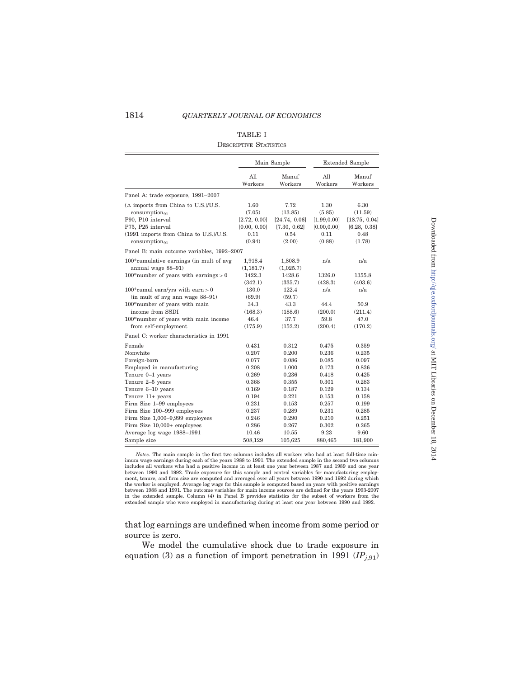# 1814 QUARTERLY JOURNAL OF ECONOMICS

#### TABLE I

#### DESCRIPTIVE STATISTICS

|                                                                     |                              | Main Sample                   |                              | <b>Extended Sample</b>        |  |
|---------------------------------------------------------------------|------------------------------|-------------------------------|------------------------------|-------------------------------|--|
|                                                                     | All<br>Workers               | Manuf<br>Workers              | All<br>Workers               | Manuf<br>Workers              |  |
| Panel A: trade exposure, 1991-2007                                  |                              |                               |                              |                               |  |
| $(\Delta$ imports from China to U.S.)/U.S.<br>$consumption_{91}$    | 1.60<br>(7.05)               | 7.72<br>(13.85)               | 1.30<br>(5.85)               | 6.30<br>(11.59)               |  |
| P90, P10 interval<br>P75, P25 interval                              | [2.72, 0.00]<br>[0.00, 0.00] | [24.74, 0.06]<br>[7.30, 0.62] | [1.99, 0.00]<br>[0.00, 0.00] | [18.75, 0.04]<br>[6.28, 0.38] |  |
| (1991 imports from China to U.S.)/U.S.<br>consumption <sub>91</sub> | 0.11<br>(0.94)               | 0.54<br>(2.00)                | 0.11<br>(0.88)               | 0.48<br>(1.78)                |  |
| Panel B: main outcome variables, 1992-2007                          |                              |                               |                              |                               |  |
| 100*cumulative earnings (in mult of avg<br>annual wage 88-91)       | 1.918.4<br>(1, 181.7)        | 1,808.9<br>(1,025.7)          | n/a                          | n/a                           |  |
| $100*$ number of years with earnings > 0                            | 1422.3<br>(342.1)            | 1428.6<br>(335.7)             | 1326.0<br>(428.3)            | 1355.8<br>(403.6)             |  |
| 100*cumul earn/yrs with earn > 0<br>(in mult of avg ann wage 88-91) | 130.0<br>(69.9)              | 122.4<br>(59.7)               | n/a                          | n/a                           |  |
| 100*number of years with main<br>income from SSDI                   | 34.3<br>(168.3)              | 43.3<br>(188.6)               | 44.4<br>(200.0)              | 50.9<br>(211.4)               |  |
| 100*number of years with main income<br>from self-employment        | 46.4<br>(175.9)              | 37.7<br>(152.2)               | 59.8<br>(200.4)              | 47.0<br>(170.2)               |  |
| Panel C: worker characteristics in 1991                             |                              |                               |                              |                               |  |
| Female<br>Nonwhite                                                  | 0.431<br>0.207               | 0.312<br>0.200                | 0.475<br>0.236               | 0.359<br>0.235                |  |
| Foreign-born                                                        | 0.077                        | 0.086                         | 0.085                        | 0.097                         |  |
| Employed in manufacturing                                           | 0.208                        | 1.000                         | 0.173                        | 0.836                         |  |
| Tenure 0-1 years                                                    | 0.269                        | 0.236                         | 0.418                        | 0.425                         |  |
| Tenure 2-5 years                                                    | 0.368                        | 0.355                         | 0.301                        | 0.283                         |  |
| Tenure 6-10 years                                                   | 0.169                        | 0.187                         | 0.129                        | 0.134                         |  |
| Tenure 11+ years                                                    | 0.194                        | 0.221                         | 0.153                        | 0.158                         |  |
| Firm Size 1-99 employees                                            | 0.231                        | 0.153                         | 0.257                        | 0.199                         |  |
| Firm Size 100-999 employees                                         | 0.237                        | 0.289                         | 0.231                        | 0.285                         |  |
| Firm Size 1,000-9,999 employees                                     | 0.246                        | 0.290                         | 0.210                        | 0.251                         |  |
| Firm Size 10,000+ employees                                         | 0.286                        | 0.267                         | 0.302                        | 0.265                         |  |
| Average log wage 1988-1991                                          | 10.46                        | 10.55                         | 9.23                         | 9.60                          |  |
| Sample size                                                         | 508,129                      | 105,625                       | 880,465                      | 181,900                       |  |

Notes. The main sample in the first two columns includes all workers who had at least full-time minimum wage earnings during each of the years 1988 to 1991. The extended sample in the second two columns<br>includes all workers who had a positive income in at least one year between 1987 and 1989 and one year<br>between 1990 an ment, tenure, and firm size are computed and averaged over all years between 1990 and 1992 during which<br>the worker is employed. Average log wage for this sample is computed based on years with positive earnings<br>between 198 in the extended sample. Column (4) in Panel B provides statistics for the subset of workers from the extended sample who were employed in manufacturing during at least one year between 1990 and 1992.

that log earnings are undefined when income from some period or source is zero.

We model the cumulative shock due to trade exposure in equation (3) as a function of import penetration in 1991 ( $IP_{j,91}$ ) Downloaded from http://qje.oxfordjournals.org/ at MIT Libraries on December 18, 2014 Downloaded from http://qje.oxfordjournals.org/ at MIT Libraries on December 18, 2014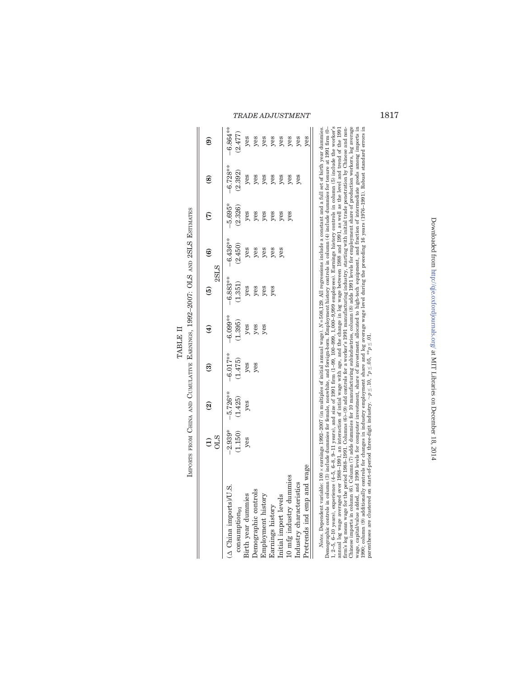|                                       | F<br>CT<br>CT<br>į<br>.<br>נוב |
|---------------------------------------|--------------------------------|
|                                       | こっぽい                           |
| --<br>--<br>--<br>--<br>-<br>i<br>ׇ֚֡ |                                |
|                                       |                                |
|                                       |                                |
|                                       | Ì                              |
|                                       |                                |
|                                       | Ï                              |

|                                                                                                                                                                                                                                                                                                                                                                                 | <b>STIO</b>          | $\widehat{\mathbf{e}}$ | ම                      | $\widehat{\mathbf{f}}$ | 2SLS<br>$\widehat{5}$ | $\widehat{\mathbf{e}}$ | $\widehat{\epsilon}$ | $\circledast$          | ම                      |
|---------------------------------------------------------------------------------------------------------------------------------------------------------------------------------------------------------------------------------------------------------------------------------------------------------------------------------------------------------------------------------|----------------------|------------------------|------------------------|------------------------|-----------------------|------------------------|----------------------|------------------------|------------------------|
| $(\Delta$ China imports)/U.S.<br>consumption <sub>91</sub>                                                                                                                                                                                                                                                                                                                      | $-2.939*$<br>(1.150) | $-5.726***$<br>(1.425) | $-6.017***$<br>(1.475) | $-6.099**$<br>(1.395)  | $-6.883**$<br>(1.351) | $-6.436***$<br>(2.450) | $-5.695*$<br>(2.326) | $-6.728***$<br>(2.392) | $-6.864***$<br>(2.477) |
| Birth year dummies                                                                                                                                                                                                                                                                                                                                                              | yes                  | yes                    | yes                    | yes                    | $y$ es                | yes                    | yes                  | $y$ es                 | yes                    |
| Demographic controls                                                                                                                                                                                                                                                                                                                                                            |                      |                        | yes                    | yes                    | yes                   | yes                    | yes                  | yes                    | yes                    |
| Employment history                                                                                                                                                                                                                                                                                                                                                              |                      |                        |                        | yes                    | yes                   | yes                    | yes                  | yes                    | yes                    |
| Earnings history                                                                                                                                                                                                                                                                                                                                                                |                      |                        |                        |                        | yes                   | yes                    | yes                  | yes                    | yes                    |
| Initial import levels                                                                                                                                                                                                                                                                                                                                                           |                      |                        |                        |                        |                       | yes                    | yes                  | $y$ es                 | yes                    |
| 10 mfg industry dummies                                                                                                                                                                                                                                                                                                                                                         |                      |                        |                        |                        |                       |                        | yes                  | yes                    | yes                    |
| Industry characteristics                                                                                                                                                                                                                                                                                                                                                        |                      |                        |                        |                        |                       |                        |                      | yes                    | $y$ es                 |
| Pretrends ind emp and wage                                                                                                                                                                                                                                                                                                                                                      |                      |                        |                        |                        |                       |                        |                      |                        | yes                    |
| Demographic controls in column (3) include dummies for female, nonwhite, and foreign-born. Employment history controls in column (4) include dummies for tenure at 1991 firm (0-<br><i>Notes</i> . Dependent variable: 100 × earnings 1992-2007 (in multiples of initial annual wage). $N = 508.129$ . All regressions include a constant and a full set of birth vear dummies. |                      |                        |                        |                        |                       |                        |                      |                        |                        |

1, 2-5, 6-10 years), experience (4-5, 6-8, 9-11 years), and size of 1991 frm (1-99, 100-999, 1,000-9,999 employees). Earnings history controls in columic (5) include the worker's annual log wage averaged over 1985-1991, a Demographic controls in column (3) include dummies for female, nonwhite, and foreign-born. Employment history controls in column (4) include dummies for tenure at 1991 firm (0– 1, 2–5, 6–10 years), experience (4–5, 6–8, 9–11 years), and size of 1991 firm (1–99, 100–999, 1,000–9,999 employees). Earnings history controls in column (5) include the worker's annual log wage averaged over 1988–1991, an interaction of intial wage with age, and the change in log wage between 1988 and 1991, as well as the level and trend of the 1991 firm's log mean wage for the period 1988–1991. Columns (6)–(9) add controls for a worker's 1991 manufacturing industry, starting with initial trade penetration by Chinese and non-Chinese imports in column (6). Column (7) adds dummies for 10 manufacturing subindustries, column (8) adds 1991 levels for employment share of production workers, log average wage, capital/value added, and 1990 levels for computer investment, share of investment allocated to high-tech equipment, and fraction of intermediate goods among imports in 1990; column (9) additionally controls for changes in industry employment share and log average wage level during the preceding 16 years (1976–1991). Robust standard errors in parentheses are clustered on start-of-period three-digit industry.  $\sim p \leq 10$ ,  $*_{p} \leq 0.6$ ,  $*_{p} \geq 0.1$ .

Downloaded from http://qje.oxfordjournals.org/ at MIT Libraries on December 18, 2014 Downloaded from http://qje.oxfordjournals.org/ at MIT Libraries on December 18, 2014

TRADE ADJUSTMENT 1817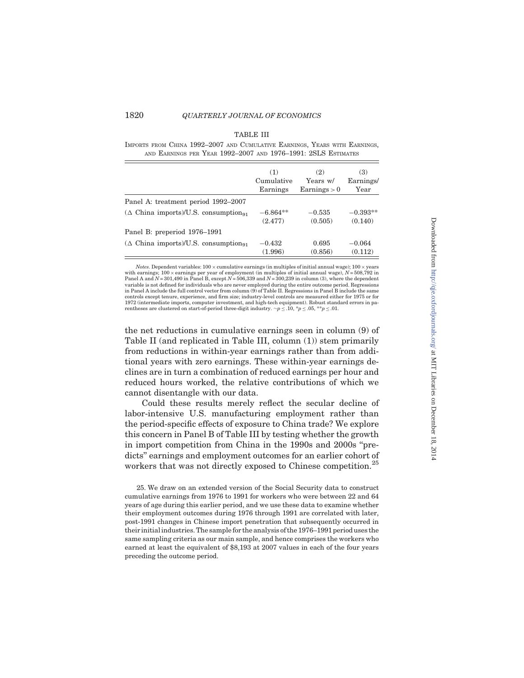## 1820 **QUARTERLY JOURNAL OF ECONOMICS**

### TABLE III

IMPORTS FROM CHINA 1992–2007 AND CUMULATIVE EARNINGS, YEARS WITH EARNINGS, AND EARNINGS PER YEAR 1992–2007 AND 1976–1991: 2SLS ESTIMATES

|                                               | (1)        | (2)                   | (3)        |
|-----------------------------------------------|------------|-----------------------|------------|
|                                               | Cumulative | Years w/              | Earnings/  |
|                                               | Earnings   | $\text{Earnings} > 0$ | Year       |
| Panel A: treatment period 1992–2007           |            |                       |            |
| $(\triangle$ China imports)/U.S. consumption. | $-6.864**$ | $-0.535$              | $-0.393**$ |
|                                               | (2.477)    | (0.505)               | (0.140)    |
| Panel B: preperiod 1976–1991                  |            |                       |            |
| $(\triangle$ China imports)/U.S. consumption. | $-0.432$   | 0.695                 | $-0.064$   |
|                                               | (1.996)    | (0.856)               | (0.112)    |

Notes. Dependent variables:  $100 \times$  cumulative earnings (in multiples of initial annual wage);  $100 \times$  years with earnings; 100 × earnings per year of employment (in multiples of initial annual wage), N= 508,792 in<br>Panel A and N = 301,490 in Panel B, except N = 506,339 and N = 300,239 in column (3), where the dependent variable is not defined for individuals who are never employed during the entire outcome period. Regressions in Panel A include the full control vector from column (9) of Table II. Regressions in Panel B include the same controls except tenure, experience, and firm size; industry-level controls are measured either for 1975 or for 1972 (intermediate imports, computer investment, and high-tech equipment). Robust standard errors in parentheses are clustered on start-of-period three-digit industry.  $\neg p \leq .10$ ,  $\neg p \leq .05$ ,  $\neg p \leq .01$ .

the net reductions in cumulative earnings seen in column (9) of Table II (and replicated in Table III, column (1)) stem primarily from reductions in within-year earnings rather than from additional years with zero earnings. These within-year earnings declines are in turn a combination of reduced earnings per hour and reduced hours worked, the relative contributions of which we cannot disentangle with our data.

Could these results merely reflect the secular decline of labor-intensive U.S. manufacturing employment rather than the period-specific effects of exposure to China trade? We explore this concern in Panel B of Table III by testing whether the growth in import competition from China in the 1990s and 2000s ''predicts'' earnings and employment outcomes for an earlier cohort of workers that was not directly exposed to Chinese competition.<sup>25</sup>

25. We draw on an extended version of the Social Security data to construct cumulative earnings from 1976 to 1991 for workers who were between 22 and 64 years of age during this earlier period, and we use these data to examine whether their employment outcomes during 1976 through 1991 are correlated with later, post-1991 changes in Chinese import penetration that subsequently occurred in their initial industries. The sample for the analysis of the 1976–1991 period uses the same sampling criteria as our main sample, and hence comprises the workers who earned at least the equivalent of \$8,193 at 2007 values in each of the four years preceding the outcome period.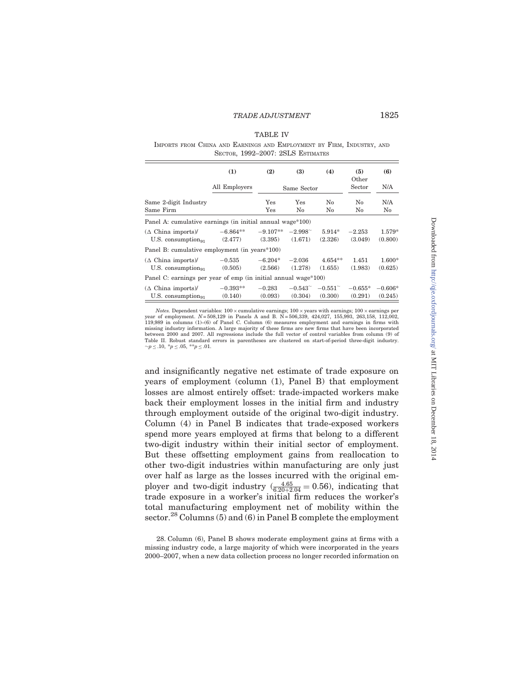## TABLE IV

IMPORTS FROM CHINA AND EARNINGS AND EMPLOYMENT BY FIRM, INDUSTRY, AND SECTOR, 1992–2007: 2SLS ESTIMATES

|                                                                | (1)                   | (2)                  | (3)                            | (4)                       | (5)                  | (6)                  |
|----------------------------------------------------------------|-----------------------|----------------------|--------------------------------|---------------------------|----------------------|----------------------|
|                                                                | All Employers         |                      | Same Sector                    |                           | Other<br>Sector      | N/A                  |
| Same 2-digit Industry<br>Same Firm                             |                       | Yes<br>$_{\rm Yes}$  | Yes<br>No                      | No<br>No                  | No<br>No             | N/A<br>No            |
| Panel A: cumulative earnings (in initial annual wage*100)      |                       |                      |                                |                           |                      |                      |
| $(\Delta$ China imports)<br>$U.S.$ consumption <sub>91</sub>   | $-6.864**$<br>(2.477) | (3.395)              | $-9.107**$ $-2.998$<br>(1.671) | $5.914*$<br>(2.326)       | $-2.253$<br>(3.049)  | 1.579*<br>(0.800)    |
| Panel B: cumulative employment (in years*100)                  |                       |                      |                                |                           |                      |                      |
| $(\Delta$ China imports)<br>$U.S.$ consumption <sub>91</sub>   | $-0.535$<br>(0.505)   | $-6.204*$<br>(2.566) | $-2.036$<br>(1.278)            | $4.654**$<br>(1.655)      | 1.451<br>(1.983)     | $1.600*$<br>(0.625)  |
| Panel C: earnings per year of emp (in initial annual wage*100) |                       |                      |                                |                           |                      |                      |
| $(\Delta$ China imports)<br>U.S. consumption $_{91}$           | $-0.393**$<br>(0.140) | $-0.283$<br>(0.093)  | $-0.543^{\sim}$<br>(0.304)     | $-0.551^\circ$<br>(0.300) | $-0.655*$<br>(0.291) | $-0.606*$<br>(0.245) |

*Notes.* Dependent variables:  $100 \times$  cumulative earnings;  $100 \times$  years with earnings;  $100 \times$  earnings per year of employment.  $N = 508,129$  in Panels A and B. N =  $506,339$ , 424,027, 155,993, 263,158, 112,002, 119,989 in columns (1)–(6) of Panel C. Column (6) measures employment and earnings in firms with missing industry information. A large majority of these firms are new firms that have been incorporated between 2000 and 2007. All regressions include the full vector of control variables from column (9) of Table II. Robust standard errors in parentheses are clustered on start-of-period three-digit industry.<br>  $\neg p \le 0.10$ ,  $\neg p \le 0.05$ ,  $\neg p \le 0.1$ .

and insignificantly negative net estimate of trade exposure on years of employment (column (1), Panel B) that employment losses are almost entirely offset: trade-impacted workers make back their employment losses in the initial firm and industry through employment outside of the original two-digit industry. Column (4) in Panel B indicates that trade-exposed workers spend more years employed at firms that belong to a different two-digit industry within their initial sector of employment. But these offsetting employment gains from reallocation to other two-digit industries within manufacturing are only just over half as large as the losses incurred with the original employer and two-digit industry  $\left(\frac{4.65}{6.20+2.04} = 0.56\right)$ , indicating that trade exposure in a worker's initial firm reduces the worker's total manufacturing employment net of mobility within the sector.<sup>28</sup> Columns (5) and (6) in Panel B complete the employment

<sup>28.</sup> Column (6), Panel B shows moderate employment gains at firms with a missing industry code, a large majority of which were incorporated in the years 2000–2007, when a new data collection process no longer recorded information on